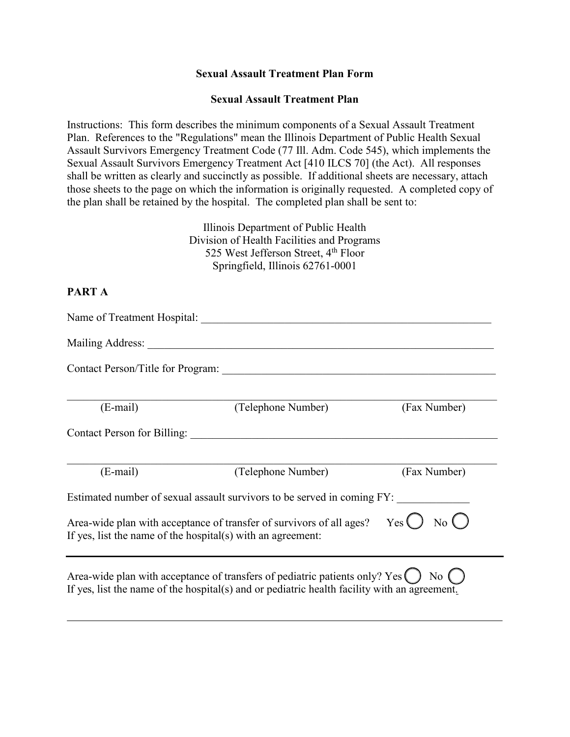#### **Sexual Assault Treatment Plan Form**

#### **Sexual Assault Treatment Plan**

Instructions: This form describes the minimum components of a Sexual Assault Treatment Plan. References to the "Regulations" mean the Illinois Department of Public Health Sexual Assault Survivors Emergency Treatment Code (77 Ill. Adm. Code 545), which implements the Sexual Assault Survivors Emergency Treatment Act [410 ILCS 70] (the Act). All responses shall be written as clearly and succinctly as possible. If additional sheets are necessary, attach those sheets to the page on which the information is originally requested. A completed copy of the plan shall be retained by the hospital. The completed plan shall be sent to:

> Illinois Department of Public Health Division of Health Facilities and Programs 525 West Jefferson Street, 4<sup>th</sup> Floor Springfield, Illinois 62761-0001

## **PART A**

| Name of Treatment Hospital: |                                                                                                                                                                                  |              |
|-----------------------------|----------------------------------------------------------------------------------------------------------------------------------------------------------------------------------|--------------|
|                             |                                                                                                                                                                                  |              |
|                             |                                                                                                                                                                                  |              |
| $(E-mail)$                  | (Telephone Number)                                                                                                                                                               | (Fax Number) |
|                             | Contact Person for Billing:                                                                                                                                                      |              |
| $(E-mail)$                  | (Telephone Number)                                                                                                                                                               | (Fax Number) |
|                             | Estimated number of sexual assault survivors to be served in coming FY:                                                                                                          |              |
|                             | Area-wide plan with acceptance of transfer of survivors of all ages? Yes $\bigcirc$ No $\bigcirc$<br>If yes, list the name of the hospital(s) with an agreement:                 |              |
|                             | Area-wide plan with acceptance of transfers of pediatric patients only? $Yes( )$<br>If yes, list the name of the hospital(s) and or pediatric health facility with an agreement. | $No$ $()$    |

\_\_\_\_\_\_\_\_\_\_\_\_\_\_\_\_\_\_\_\_\_\_\_\_\_\_\_\_\_\_\_\_\_\_\_\_\_\_\_\_\_\_\_\_\_\_\_\_\_\_\_\_\_\_\_\_\_\_\_\_\_\_\_\_\_\_\_\_\_\_\_\_\_\_\_\_\_\_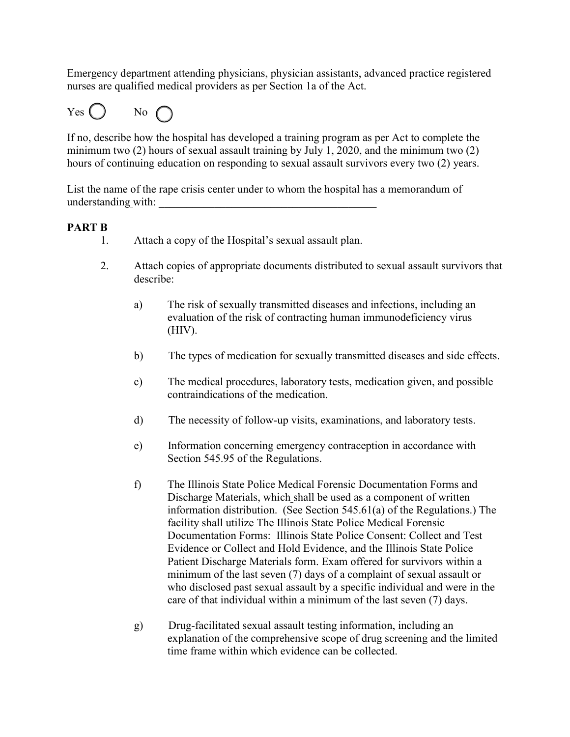Emergency department attending physicians, physician assistants, advanced practice registered nurses are qualified medical providers as per Section 1a of the Act.



If no, describe how the hospital has developed a training program as per Act to complete the minimum two (2) hours of sexual assault training by July 1, 2020, and the minimum two (2) hours of continuing education on responding to sexual assault survivors every two (2) years.

List the name of the rape crisis center under to whom the hospital has a memorandum of understanding with:

## **PART B**

- 1. Attach a copy of the Hospital's sexual assault plan.
- 2. Attach copies of appropriate documents distributed to sexual assault survivors that describe:
	- a) The risk of sexually transmitted diseases and infections, including an evaluation of the risk of contracting human immunodeficiency virus (HIV).
	- b) The types of medication for sexually transmitted diseases and side effects.
	- c) The medical procedures, laboratory tests, medication given, and possible contraindications of the medication.
	- d) The necessity of follow-up visits, examinations, and laboratory tests.
	- e) Information concerning emergency contraception in accordance with Section 545.95 of the Regulations.
	- f) The Illinois State Police Medical Forensic Documentation Forms and Discharge Materials, which shall be used as a component of written information distribution. (See Section 545.61(a) of the Regulations.) The facility shall utilize The Illinois State Police Medical Forensic Documentation Forms: Illinois State Police Consent: Collect and Test Evidence or Collect and Hold Evidence, and the Illinois State Police Patient Discharge Materials form. Exam offered for survivors within a minimum of the last seven (7) days of a complaint of sexual assault or who disclosed past sexual assault by a specific individual and were in the care of that individual within a minimum of the last seven (7) days.
	- g) Drug-facilitated sexual assault testing information, including an explanation of the comprehensive scope of drug screening and the limited time frame within which evidence can be collected.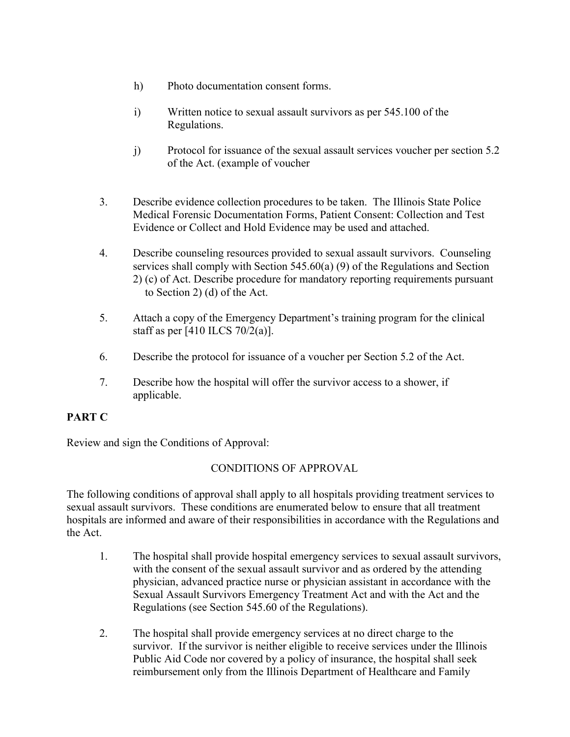- h) Photo documentation consent forms.
- i) Written notice to sexual assault survivors as per 545.100 of the Regulations.
- j) Protocol for issuance of the sexual assault services voucher per section 5.2 of the Act. (example of voucher
- 3. Describe evidence collection procedures to be taken. The Illinois State Police Medical Forensic Documentation Forms, Patient Consent: Collection and Test Evidence or Collect and Hold Evidence may be used and attached.
- 4. Describe counseling resources provided to sexual assault survivors. Counseling services shall comply with Section 545.60(a) (9) of the Regulations and Section 2) (c) of Act. Describe procedure for mandatory reporting requirements pursuant to Section 2) (d) of the Act.
- 5. Attach a copy of the Emergency Department's training program for the clinical staff as per [410 ILCS 70/2(a)].
- 6. Describe the protocol for issuance of a voucher per Section 5.2 of the Act.
- 7. Describe how the hospital will offer the survivor access to a shower, if applicable.

# **PART C**

Review and sign the Conditions of Approval:

# CONDITIONS OF APPROVAL

The following conditions of approval shall apply to all hospitals providing treatment services to sexual assault survivors. These conditions are enumerated below to ensure that all treatment hospitals are informed and aware of their responsibilities in accordance with the Regulations and the Act.

- 1. The hospital shall provide hospital emergency services to sexual assault survivors, with the consent of the sexual assault survivor and as ordered by the attending physician, advanced practice nurse or physician assistant in accordance with the Sexual Assault Survivors Emergency Treatment Act and with the Act and the Regulations (see Section 545.60 of the Regulations).
- 2. The hospital shall provide emergency services at no direct charge to the survivor. If the survivor is neither eligible to receive services under the Illinois Public Aid Code nor covered by a policy of insurance, the hospital shall seek reimbursement only from the Illinois Department of Healthcare and Family